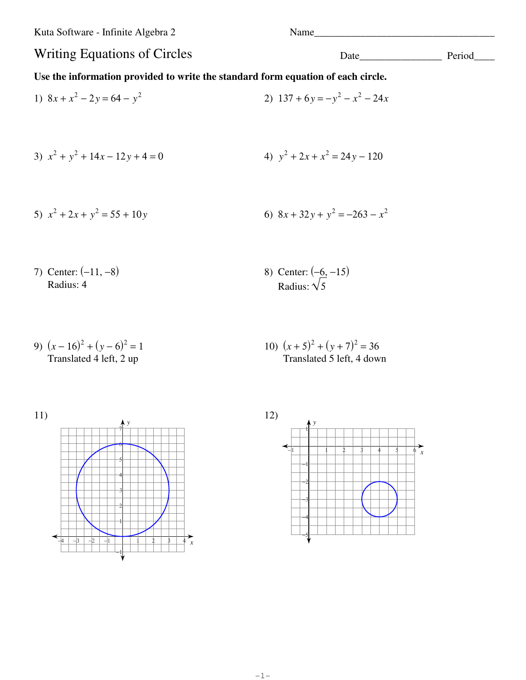Kuta Software - Infinite Algebra 2

Name

## Writing Equations of Circles

## Use the information provided to write the standard form equation of each circle.

- 2)  $137 + 6y = -y^2 x^2 24x$ 1)  $8x + x^2 - 2y = 64 - y^2$ 4)  $y^2 + 2x + x^2 = 24y - 120$ 3)  $x^2 + y^2 + 14x - 12y + 4 = 0$
- 5)  $x^2 + 2x + y^2 = 55 + 10y$ 6)  $8x + 32y + y^2 = -263 - x^2$
- 7) Center:  $(-11, -8)$ Radius: 4

8) Center:  $(-6, -15)$ <br>Radius:  $\sqrt{5}$ 

9)  $(x-16)^2 + (y-6)^2 = 1$ Translated 4 left, 2 up

10)  $(x+5)^2 + (y+7)^2 = 36$ Translated 5 left, 4 down





Date Period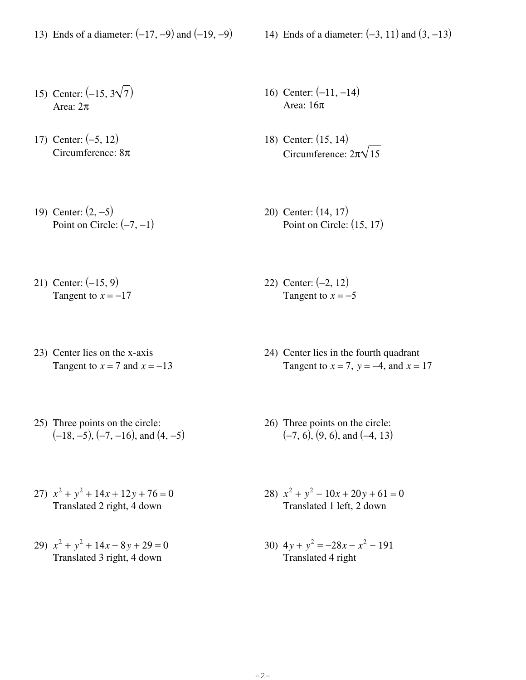- 13) Ends of a diameter: (−17, −9) and (−19, −9) 14) Ends of a diameter: (−3, 11) and (3, −13)
	-

- 15) Center:  $(-15, 3\sqrt{7})$ Area: 2π
- 17) Center: (−5, 12) Circumference: 8π
- 19) Center: (2, −5) Point on Circle:  $(-7, -1)$
- 21) Center: (−15, 9) Tangent to  $x = -17$
- 23) Center lies on the x-axis Tangent to  $x = 7$  and  $x = -13$
- 25) Three points on the circle:  $(-18, -5)$ ,  $(-7, -16)$ , and  $(4, -5)$
- 27)  $x^2 + y^2 + 14x + 12y + 76 = 0$ Translated 2 right, 4 down
- 29)  $x^2 + y^2 + 14x 8y + 29 = 0$ Translated 3 right, 4 down
- 16) Center: (−11, −14) Area: 16π
- 18) Center: (15, 14) Circumference:  $2\pi\sqrt{15}$
- 20) Center: (14, 17) Point on Circle:  $(15, 17)$
- 22) Center: (−2, 12) Tangent to  $x = -5$
- 24) Center lies in the fourth quadrant Tangent to  $x = 7$ ,  $y = -4$ , and  $x = 17$
- 26) Three points on the circle:  $(-7, 6)$ ,  $(9, 6)$ , and  $(-4, 13)$
- 28)  $x^2 + y^2 10x + 20y + 61 = 0$ Translated 1 left, 2 down
- 30)  $4y + y^2 = -28x x^2 191$ Translated 4 right

 $C$ C 2011 Kath Software D.L.C. All rights reserved. Made with Infinite Algebra 2.  $-2-$  which is a urge set  $\sim$  worksheet by Kuta Software LLC

-2-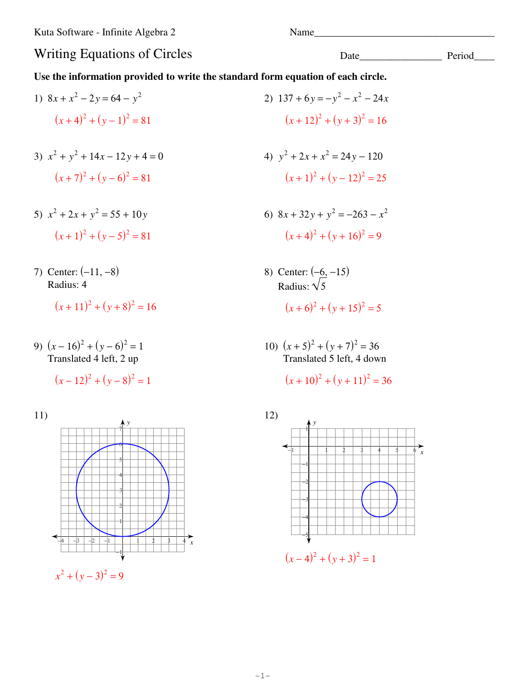Date

## **Writing Equations of Circles**

Use the information provided to write the standard form equation of each circle.

- 2)  $137 + 6y = -y^2 x^2 24x$ 1)  $8x + x^2 - 2y = 64 - y^2$  $(x+4)^2 + (y-1)^2 = 81$  $(x+12)^2 + (y+3)^2 = 16$ 3)  $x^2 + y^2 + 14x - 12y + 4 = 0$ 4)  $y^2 + 2x + x^2 = 24y - 120$  $(x+7)^2 + (y-6)^2 = 81$  $(x+1)^2 + (y-12)^2 = 25$ 
	- 6)  $8x + 32y + y^2 = -263 x^2$  $(x+4)^2 + (y+16)^2 = 9$ 
		- 8) Center:  $(-6, -15)$ <br>Radius:  $\sqrt{5}$  $(x+6)^2 + (y+15)^2 = 5$
		- 10)  $(x+5)^2 + (y+7)^2 = 36$ Translated 5 left, 4 down

 $(x+10)^2 + (y+11)^2 = 36$ 



- 5)  $x^2 + 2x + y^2 = 55 + 10y$  $(x+1)^2 + (y-5)^2 = 81$
- 7) Center:  $(-11, -8)$ Radius: 4

 $(x+11)^2 + (y+8)^2 = 16$ 

9)  $(x-16)^2 + (y-6)^2 = 1$ Translated 4 left, 2 up

$$
(x-12)^2 + (y-8)^2 = 1
$$